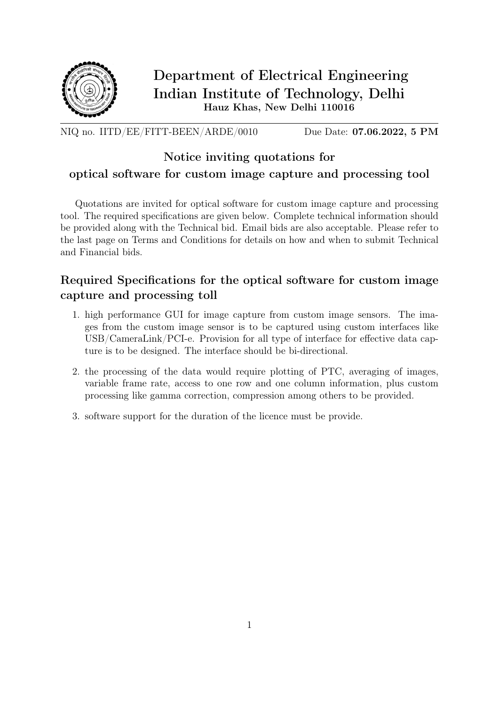

# Department of Electrical Engineering Indian Institute of Technology, Delhi Hauz Khas, New Delhi 110016

NIQ no. IITD/EE/FITT-BEEN/ARDE/0010 Due Date: **07.06.2022, 5 PM** 

# Notice inviting quotations for

### optical software for custom image capture and processing tool

Quotations are invited for optical software for custom image capture and processing tool. The required specifications are given below. Complete technical information should be provided along with the Technical bid. Email bids are also acceptable. Please refer to the last page on Terms and Conditions for details on how and when to submit Technical and Financial bids.

## Required Specifications for the optical software for custom image capture and processing toll

- 1. high performance GUI for image capture from custom image sensors. The images from the custom image sensor is to be captured using custom interfaces like USB/CameraLink/PCI-e. Provision for all type of interface for effective data capture is to be designed. The interface should be bi-directional.
- 2. the processing of the data would require plotting of PTC, averaging of images, variable frame rate, access to one row and one column information, plus custom processing like gamma correction, compression among others to be provided.
- 3. software support for the duration of the licence must be provide.